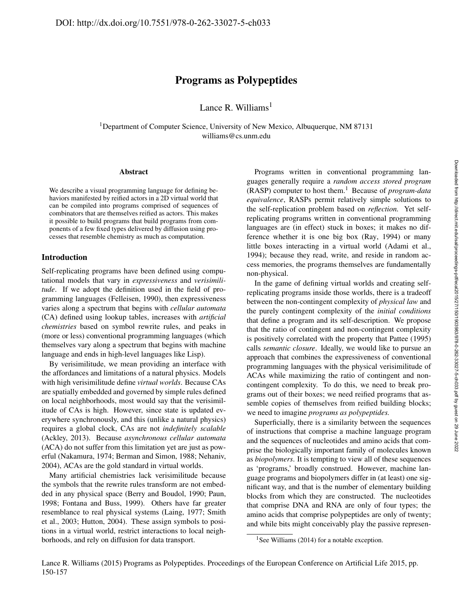# Programs as Polypeptides

Lance R. Williams $<sup>1</sup>$ </sup>

<sup>1</sup>Department of Computer Science, University of New Mexico, Albuquerque, NM 87131 williams@cs.unm.edu

#### Abstract

We describe a visual programming language for defining behaviors manifested by reified actors in a 2D virtual world that can be compiled into programs comprised of sequences of combinators that are themselves reified as actors. This makes it possible to build programs that build programs from components of a few fixed types delivered by diffusion using processes that resemble chemistry as much as computation.

## Introduction

Self-replicating programs have been defined using computational models that vary in *expressiveness* and *verisimilitude*. If we adopt the definition used in the field of programming languages (Felleisen, 1990), then expressiveness varies along a spectrum that begins with *cellular automata* (CA) defined using lookup tables, increases with *artificial chemistries* based on symbol rewrite rules, and peaks in (more or less) conventional programming languages (which themselves vary along a spectrum that begins with machine language and ends in high-level languages like Lisp).

By verisimilitude, we mean providing an interface with the affordances and limitations of a natural physics. Models with high verisimilitude define *virtual worlds*. Because CAs are spatially embedded and governed by simple rules defined on local neighborhoods, most would say that the verisimilitude of CAs is high. However, since state is updated everywhere synchronously, and this (unlike a natural physics) requires a global clock, CAs are not *indefinitely scalable* (Ackley, 2013). Because *asynchronous cellular automata* (ACA) do not suffer from this limitation yet are just as powerful (Nakamura, 1974; Berman and Simon, 1988; Nehaniv, 2004), ACAs are the gold standard in virtual worlds.

Many artificial chemistries lack verisimilitude because the symbols that the rewrite rules transform are not embedded in any physical space (Berry and Boudol, 1990; Paun, 1998; Fontana and Buss, 1999). Others have far greater resemblance to real physical systems (Laing, 1977; Smith et al., 2003; Hutton, 2004). These assign symbols to positions in a virtual world, restrict interactions to local neighborhoods, and rely on diffusion for data transport.

Programs written in conventional programming languages generally require a *random access stored program* (RASP) computer to host them.<sup>1</sup> Because of *program-data equivalence*, RASPs permit relatively simple solutions to the self-replication problem based on *reflection.* Yet selfreplicating programs written in conventional programming languages are (in effect) stuck in boxes; it makes no difference whether it is one big box (Ray, 1994) or many little boxes interacting in a virtual world (Adami et al., 1994); because they read, write, and reside in random access memories, the programs themselves are fundamentally non-physical.

In the game of defining virtual worlds and creating selfreplicating programs inside those worlds, there is a tradeoff between the non-contingent complexity of *physical law* and the purely contingent complexity of the *initial conditions* that define a program and its self-description. We propose that the ratio of contingent and non-contingent complexity is positively correlated with the property that Pattee (1995) calls *semantic closure*. Ideally, we would like to pursue an approach that combines the expressiveness of conventional programming languages with the physical verisimilitude of ACAs while maximizing the ratio of contingent and noncontingent complexity. To do this, we need to break programs out of their boxes; we need reified programs that assemble copies of themselves from reified building blocks; we need to imagine *programs as polypeptides.*

Superficially, there is a similarity between the sequences of instructions that comprise a machine language program and the sequences of nucleotides and amino acids that comprise the biologically important family of molecules known as *biopolymers*. It is tempting to view all of these sequences as 'programs,' broadly construed. However, machine language programs and biopolymers differ in (at least) one significant way, and that is the number of elementary building blocks from which they are constructed. The nucleotides that comprise DNA and RNA are only of four types; the amino acids that comprise polypeptides are only of twenty; and while bits might conceivably play the passive represen-

<sup>&</sup>lt;sup>1</sup>See Williams (2014) for a notable exception.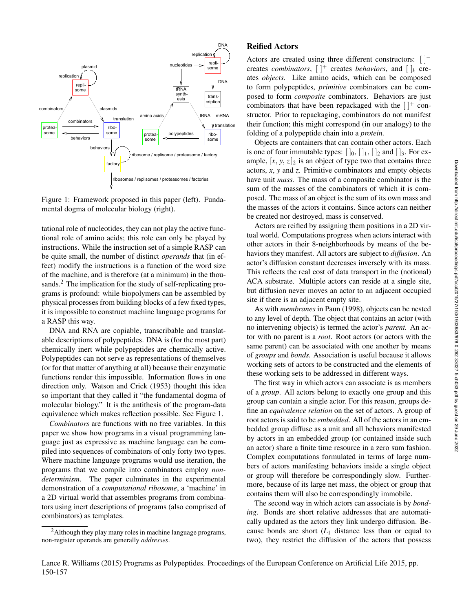

Figure 1: Framework proposed in this paper (left). Fundamental dogma of molecular biology (right).

tational role of nucleotides, they can not play the active functional role of amino acids; this role can only be played by instructions. While the instruction set of a simple RASP can be quite small, the number of distinct *operands* that (in effect) modify the instructions is a function of the word size of the machine, and is therefore (at a minimum) in the thousands.<sup>2</sup> The implication for the study of self-replicating programs is profound: while biopolymers can be assembled by physical processes from building blocks of a few fixed types, it is impossible to construct machine language programs for a RASP this way.

DNA and RNA are copiable, transcribable and translatable descriptions of polypeptides. DNA is (for the most part) chemically inert while polypeptides are chemically active. Polypeptides can not serve as representations of themselves (or for that matter of anything at all) because their enzymatic functions render this impossible. Information flows in one direction only. Watson and Crick (1953) thought this idea so important that they called it "the fundamental dogma of molecular biology." It is the antithesis of the program-data equivalence which makes reflection possible. See Figure 1.

*Combinators* are functions with no free variables. In this paper we show how programs in a visual programming language just as expressive as machine language can be compiled into sequences of combinators of only forty two types. Where machine language programs would use iteration, the programs that we compile into combinators employ *nondeterminism*. The paper culminates in the experimental demonstration of a *computational ribosome*, a 'machine' in a 2D virtual world that assembles programs from combinators using inert descriptions of programs (also comprised of combinators) as templates.

# Reified Actors

Actors are created using three different constructors: [ ]<sup>−</sup> creates *combinators*,  $[ ]^+$  creates *behaviors*, and  $[ ]_k$  creates *objects.* Like amino acids, which can be composed to form polypeptides, *primitive* combinators can be composed to form *composite* combinators. Behaviors are just combinators that have been repackaged with the  $[$   $]$ <sup>+</sup> constructor. Prior to repackaging, combinators do not manifest their function; this might correspond (in our analogy) to the folding of a polypeptide chain into a *protein.*

Objects are containers that can contain other actors. Each is one of four immutable types:  $[ \, ]_0, [ \, ]_1, [ \, ]_2$  and  $[ \, ]_3$ . For example,  $[x, y, z]_2$  is an object of type two that contains three actors, *x*, *y* and *z*. Primitive combinators and empty objects have unit *mass.* The mass of a composite combinator is the sum of the masses of the combinators of which it is composed. The mass of an object is the sum of its own mass and the masses of the actors it contains. Since actors can neither be created nor destroyed, mass is conserved.

Actors are reified by assigning them positions in a 2D virtual world. Computations progress when actors interact with other actors in their 8-neighborhoods by means of the behaviors they manifest. All actors are subject to *diffusion*. An actor's diffusion constant decreases inversely with its mass. This reflects the real cost of data transport in the (notional) ACA substrate. Multiple actors can reside at a single site, but diffusion never moves an actor to an adjacent occupied site if there is an adjacent empty site.

As with *membranes* in Paun (1998), objects can be nested to any level of depth. The object that contains an actor (with no intervening objects) is termed the actor's *parent.* An actor with no parent is a *root*. Root actors (or actors with the same parent) can be associated with one another by means of *groups* and *bonds.* Association is useful because it allows working sets of actors to be constructed and the elements of these working sets to be addressed in different ways.

The first way in which actors can associate is as members of a *group*. All actors belong to exactly one group and this group can contain a single actor. For this reason, groups define an *equivalence relation* on the set of actors. A group of root actors is said to be *embedded*. All of the actors in an embedded group diffuse as a unit and all behaviors manifested by actors in an embedded group (or contained inside such an actor) share a finite time resource in a zero sum fashion. Complex computations formulated in terms of large numbers of actors manifesting behaviors inside a single object or group will therefore be correspondingly slow. Furthermore, because of its large net mass, the object or group that contains them will also be correspondingly immobile.

The second way in which actors can associate is by *bonding*. Bonds are short relative addresses that are automatically updated as the actors they link undergo diffusion. Because bonds are short  $(L_1)$  distance less than or equal to two), they restrict the diffusion of the actors that possess

<sup>&</sup>lt;sup>2</sup>Although they play many roles in machine language programs, non-register operands are generally *addresses*.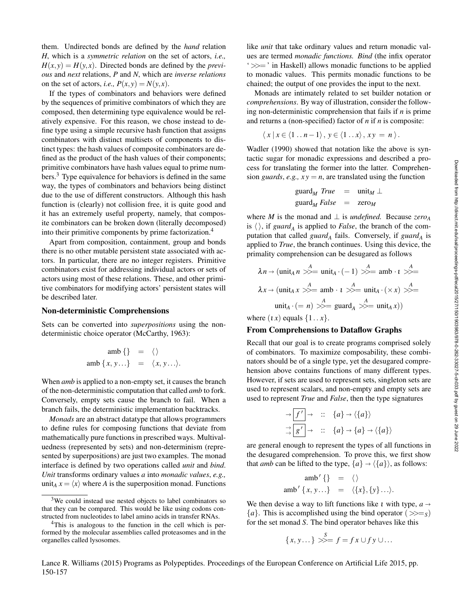them. Undirected bonds are defined by the *hand* relation *H*, which is a *symmetric relation* on the set of actors, *i.e.,*  $H(x, y) = H(y, x)$ . Directed bonds are defined by the *previous* and *next* relations, *P* and *N*, which are *inverse relations* on the set of actors, *i.e.*,  $P(x, y) = N(y, x)$ .

If the types of combinators and behaviors were defined by the sequences of primitive combinators of which they are composed, then determining type equivalence would be relatively expensive. For this reason, we chose instead to define type using a simple recursive hash function that assigns combinators with distinct multisets of components to distinct types: the hash values of composite combinators are defined as the product of the hash values of their components; primitive combinators have hash values equal to prime numbers.<sup>3</sup> Type equivalence for behaviors is defined in the same way, the types of combinators and behaviors being distinct due to the use of different constructors. Although this hash function is (clearly) not collision free, it is quite good and it has an extremely useful property, namely, that composite combinators can be broken down (literally decomposed) into their primitive components by prime factorization.<sup>4</sup>

Apart from composition, containment, group and bonds there is no other mutable persistent state associated with actors. In particular, there are no integer registers. Primitive combinators exist for addressing individual actors or sets of actors using most of these relations. These, and other primitive combinators for modifying actors' persistent states will be described later.

#### Non-deterministic Comprehensions

Sets can be converted into *superpositions* using the nondeterministic choice operator (McCarthy, 1963):

$$
amb \{\} = \langle \rangle
$$
  
amb  $\{x, y...\} = \langle x, y...\rangle.$ 

When *amb* is applied to a non-empty set, it causes the branch of the non-deterministic computation that called *amb* to fork. Conversely, empty sets cause the branch to fail. When a branch fails, the deterministic implementation backtracks.

*Monads* are an abstract datatype that allows programmers to define rules for composing functions that deviate from mathematically pure functions in prescribed ways. Multivaluedness (represented by sets) and non-determinism (represented by superpositions) are just two examples. The monad interface is defined by two operations called *unit* and *bind*. *Unit* transforms ordinary values *a* into *monadic values*, *e.g.,* unit<sub>A</sub>  $x = \langle x \rangle$  where *A* is the superposition monad. Functions like *unit* that take ordinary values and return monadic values are termed *monadic functions. Bind* (the infix operator ' >>= ' in Haskell) allows monadic functions to be applied to monadic values. This permits monadic functions to be chained; the output of one provides the input to the next.

Monads are intimately related to set builder notation or *comprehensions*. By way of illustration, consider the following non-deterministic comprehension that fails if *n* is prime and returns a (non-specified) factor of *n* if *n* is composite:

$$
\langle x \, | \, x \in \langle 1 \, . . \, n-1 \rangle \, , \, y \in \langle 1 \, . . \, x \rangle \, , \, xy = n \, \rangle \, .
$$

Wadler (1990) showed that notation like the above is syntactic sugar for monadic expressions and described a process for translating the former into the latter. Comprehension *guards*, *e.g.*,  $xy = n$ , are translated using the function

$$
guardM True = unitM \perp
$$
  

$$
guardM False = zeroM
$$

where *M* is the monad and  $\perp$  is *undefined*. Because *zero<sub>A</sub>* is  $\langle \rangle$ , if *guard*<sub>A</sub> is applied to *False*, the branch of the computation that called *guard<sup>A</sup>* fails. Conversely, if *guard<sup>A</sup>* is applied to *True*, the branch continues. Using this device, the primality comprehension can be desugared as follows

$$
\lambda n \to (\text{unit}_A n \gg^A = \text{unit}_A \cdot (-1) \gg^A = \text{amb} \cdot \iota \gg^A = \lambda x \to (\text{unit}_A x \gg^A = \text{amb} \cdot \iota \gg^A = \text{unit}_A \cdot (\times x) \gg^A = \text{unit}_A \cdot (= n) \gg^A = \text{guard}_A \gg^A = \text{unit}_A x))
$$

where  $(1 x)$  equals  $\{1..x\}$ .

### From Comprehensions to Dataflow Graphs

Recall that our goal is to create programs comprised solely of combinators. To maximize composability, these combinators should be of a single type, yet the desugared comprehension above contains functions of many different types. However, if sets are used to represent sets, singleton sets are used to represent scalars, and non-empty and empty sets are used to represent *True* and *False*, then the type signatures

$$
\rightarrow \boxed{f'} \rightarrow :: \{a\} \rightarrow \langle \{a\} \rangle
$$
  
\n
$$
\rightarrow \boxed{g'} \rightarrow :: \{a\} \rightarrow \{a\} \rightarrow \langle \{a\} \rangle
$$

are general enough to represent the types of all functions in the desugared comprehension. To prove this, we first show that *amb* can be lifted to the type,  $\{a\} \rightarrow \langle \{a\} \rangle$ , as follows:

amb 0 {} = h i amb 0 { *x*, *y* ...} = h{*x*},{*y*}...i.

We then devise a way to lift functions like *t* with type,  $a \rightarrow$  $\{a\}$ . This is accomplished using the bind operator ( $\gg =_{S}$ ) for the set monad *S*. The bind operator behaves like this

$$
\{x, y \dots\} \gg f = fx \cup fy \cup \dots
$$

Lance R. Williams (2015) Programs as Polypeptides. Proceedings of the European Conference on Artificial Life 2015, pp. 150-157

<sup>&</sup>lt;sup>3</sup>We could instead use nested objects to label combinators so that they can be compared. This would be like using codons constructed from nucleotides to label amino acids in transfer RNAs.

<sup>&</sup>lt;sup>4</sup>This is analogous to the function in the cell which is performed by the molecular assemblies called proteasomes and in the organelles called lysosomes.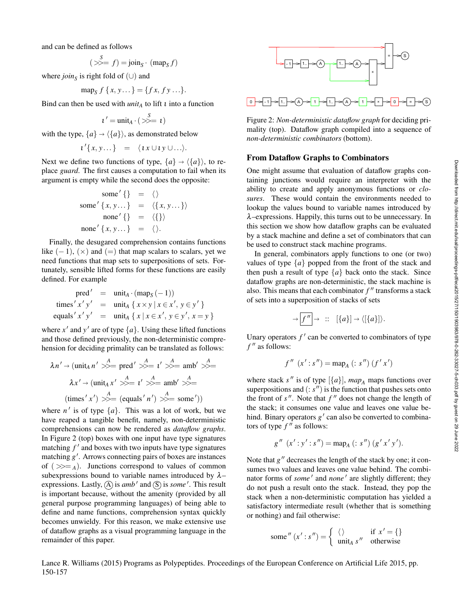and can be defined as follows

$$
(\ggg = f) = \text{join}_{S} \cdot (\text{map}_{S} f)
$$

where *join*<sub>*S*</sub> is right fold of  $(\cup)$  and

$$
\operatorname{map}_{S} f \{x, y \dots\} = \{fx, fy \dots\}.
$$

Bind can then be used with  $unit_A$  to lift  $\iota$  into a function

$$
\iota'=\text{unit}_A\cdot(\gg=1)
$$

with the type,  $\{a\} \rightarrow \langle \{a\} \rangle$ , as demonstrated below

$$
i'\{x,y...\} = \langle ix \cup iy \cup ... \rangle.
$$

Next we define two functions of type,  $\{a\} \rightarrow \langle \{a\} \rangle$ , to replace *guard*. The first causes a computation to fail when its argument is empty while the second does the opposite:

some' { } = 
$$
\langle \rangle
$$
  
\nsome' { x, y... } =  $\langle \{x, y...\}\rangle$   
\nnone' { } =  $\langle \{\}\rangle$   
\nnone' { x, y... } =  $\langle \rangle$ .

Finally, the desugared comprehension contains functions like  $(-1)$ ,  $(\times)$  and  $(=)$  that map scalars to scalars, yet we need functions that map sets to superpositions of sets. Fortunately, sensible lifted forms for these functions are easily defined. For example

pred' = 
$$
unit_A \cdot (map_S(-1))
$$
  
\ntimes' x'y' =  $unit_A \{ x \times y | x \in x', y \in y' \}$   
\nequals' x'y' =  $unit_A \{ x | x \in x', y \in y', x = y \}$ 

where  $x'$  and  $y'$  are of type  $\{a\}$ . Using these lifted functions and those defined previously, the non-deterministic comprehension for deciding primality can be translated as follows:

$$
\lambda n' \rightarrow (\text{unit}_A n' \gg) = \text{pred}' \gg = t' \gg = \text{amb}' \gg =
$$
  

$$
\lambda x' \rightarrow (\text{unit}_A x' \gg) = t' \gg = \text{amb}' \gg =
$$
  

$$
(\text{times}' x') \gg = (\text{equals}' n') \gg = \text{some}')
$$

where  $n'$  is of type  $\{a\}$ . This was a lot of work, but we have reaped a tangible benefit, namely, non-deterministic comprehensions can now be rendered as *dataflow graphs*. In Figure 2 (top) boxes with one input have type signatures matching  $f'$  and boxes with two inputs have type signatures matching g'. Arrows connecting pairs of boxes are instances of  $(\gg)=A$ ). Junctions correspond to values of common subexpressions bound to variable names introduced by  $\lambda$ expressions. Lastly,  $\left(\widehat{A}\right)$  is *amb*<sup> $\prime$ </sup> and  $\left(\widehat{S}\right)$  is *some*  $\prime$ . This result is important because, without the amenity (provided by all general purpose programming languages) of being able to define and name functions, comprehension syntax quickly becomes unwieldy. For this reason, we make extensive use of dataflow graphs as a visual programming language in the remainder of this paper.





Figure 2: *Non-deterministic dataflow graph* for deciding primality (top). Dataflow graph compiled into a sequence of *non-deterministic combinators* (bottom).

## From Dataflow Graphs to Combinators

One might assume that evaluation of dataflow graphs containing junctions would require an interpreter with the ability to create and apply anonymous functions or *closures*. These would contain the environments needed to lookup the values bound to variable names introduced by λ–expressions. Happily, this turns out to be unnecessary. In this section we show how dataflow graphs can be evaluated by a stack machine and define a set of combinators that can be used to construct stack machine programs.

In general, combinators apply functions to one (or two) values of type  $\{a\}$  popped from the front of the stack and then push a result of type  ${a}$  back onto the stack. Since dataflow graphs are non-deterministic, the stack machine is also. This means that each combinator  $f''$  transforms a stack of sets into a superposition of stacks of sets

$$
\rightarrow \boxed{f''} \rightarrow :: [\{a\}] \rightarrow \langle [\{a\}]\rangle.
$$

Unary operators  $f'$  can be converted to combinators of type  $f''$  as follows:

$$
f''(x':s'') = \text{map}_A(:s'')(f'x')
$$

where stack  $s''$  is of type  $[\{a\}]$ ,  $map_A$  maps functions over superpositions and  $(: s'')$  is the function that pushes sets onto the front of  $s''$ . Note that  $f''$  does not change the length of the stack; it consumes one value and leaves one value behind. Binary operators  $g'$  can also be converted to combinators of type  $f''$  as follows:

$$
g''(x':y':s'') = \text{map}_A(:s'')(g'x'y').
$$

Note that  $g''$  decreases the length of the stack by one; it consumes two values and leaves one value behind. The combinator forms of *some* ' and *none* ' are slightly different; they do not push a result onto the stack. Instead, they pop the stack when a non-deterministic computation has yielded a satisfactory intermediate result (whether that is something or nothing) and fail otherwise:

some'' 
$$
(x': s'') = \begin{cases} \langle \rangle & \text{if } x' = \{\} \\ \text{unit}_{A} s'' & \text{otherwise} \end{cases}
$$

Lance R. Williams (2015) Programs as Polypeptides. Proceedings of the European Conference on Artificial Life 2015, pp. 150-157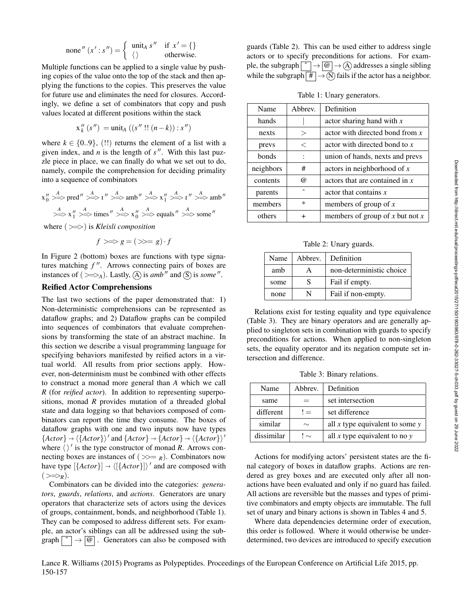none'' 
$$
(x' : s'') = \begin{cases} \text{unit}_A s'' & \text{if } x' = \{\} \\ \langle \rangle & \text{otherwise.} \end{cases}
$$

Multiple functions can be applied to a single value by pushing copies of the value onto the top of the stack and then applying the functions to the copies. This preserves the value for future use and eliminates the need for closures. Accordingly, we define a set of combinators that copy and push values located at different positions within the stack

$$
x_k''(s'') = \text{unit}_A ((s''!!(n-k)) : s'')
$$

where  $k \in \{0..9\}$ , (!!) returns the element of a list with a given index, and *n* is the length of  $s''$ . With this last puzzle piece in place, we can finally do what we set out to do, namely, compile the comprehension for deciding primality into a sequence of combinators

$$
x_0'' \xrightarrow{A} \text{pred}'' \xrightarrow{A} \iota'' \xrightarrow{A} \text{amb}'' \xrightarrow{A} x_1'' \xrightarrow{A} \iota'' \xrightarrow{A} \text{amb}''
$$
  

$$
\xrightarrow{A} x_1'' \xrightarrow{A} \text{times}'' \xrightarrow{A} x_0'' \xrightarrow{A} \text{equals}'' \xrightarrow{A} \text{some}''
$$
  

$$
\xrightarrow{A} x_1'' \xrightarrow{A} \text{times}'' \xrightarrow{A} x_0'' \xrightarrow{A} \text{equals}'' \xrightarrow{A} \text{some}''
$$

where (>=>) is *Kleisli composition*

$$
f>\Rightarrow g=(\gg=g)\cdot f
$$

In Figure 2 (bottom) boxes are functions with type signatures matching  $f''$ . Arrows connecting pairs of boxes are instances of  $(\gg \gg)$ . Lastly,  $\textcircled{A}$  is *amb*<sup>*n*</sup> and  $\textcircled{S}$  is *some*  $\textsuperscript{n}$ .

# Reified Actor Comprehensions

The last two sections of the paper demonstrated that: 1) Non-deterministic comprehensions can be represented as dataflow graphs; and 2) Dataflow graphs can be compiled into sequences of combinators that evaluate comprehensions by transforming the state of an abstract machine. In this section we describe a visual programming language for specifying behaviors manifested by reified actors in a virtual world. All results from prior sections apply. However, non-determinism must be combined with other effects to construct a monad more general than *A* which we call *R* (for *reified actor*). In addition to representing superpositions, monad *R* provides mutation of a threaded global state and data logging so that behaviors composed of combinators can report the time they consume. The boxes of dataflow graphs with one and two inputs now have types  ${Actor}$   $\rightarrow$   $({*factor*})'$  and  ${Actor}$   $\rightarrow$   ${Actor}$   $\rightarrow$   $({*factor*})'$ where  $\langle \rangle'$  is the type constructor of monad *R*. Arrows connecting boxes are instances of  $(\ggg)$ . Combinators now have type  $[{actor}] \rightarrow ({[{actor}]})'$  and are composed with  $(\gg \gg_R).$ 

Combinators can be divided into the categories: *generators*, *guards*, *relations*, and *actions*. Generators are unary operators that characterize sets of actors using the devices of groups, containment, bonds, and neighborhood (Table 1). They can be composed to address different sets. For example, an actor's siblings can all be addressed using the subgraph  $\lceil \hat{ } \rceil \rightarrow \lceil \omega \rceil$ . Generators can also be composed with

guards (Table 2). This can be used either to address single actors or to specify preconditions for actions. For example, the subgraph  $\boxed{\uparrow}$   $\rightarrow \boxed{\textcircled{a}}$   $\rightarrow$  (A) addresses a single sibling while the subgraph  $# \rightarrow \infty$  fails if the actor has a neighbor.

Table 1: Unary generators.

| Name         | Abbrev.  | Definition                        |
|--------------|----------|-----------------------------------|
| hands        |          | actor sharing hand with $x$       |
| nexts        | $\rm{>}$ | actor with directed bond from $x$ |
| prevs        | $\,<\,$  | actor with directed bond to $x$   |
| <b>bonds</b> |          | union of hands, nexts and prevs   |
| neighbors    | #        | actors in neighborhood of $x$     |
| contents     | @)       | actors that are contained in $x$  |
| parents      | $\sim$   | actor that contains $x$           |
| members      | *        | members of group of $x$           |
| others       |          | members of group of x but not x   |

Table 2: Unary guards.

| Name | Abbrev. | Definition               |
|------|---------|--------------------------|
| amb  | A       | non-deterministic choice |
| some | S       | Fail if empty.           |
| none | N       | Fail if non-empty.       |

Relations exist for testing equality and type equivalence (Table 3). They are binary operators and are generally applied to singleton sets in combination with guards to specify preconditions for actions. When applied to non-singleton sets, the equality operator and its negation compute set intersection and difference.

Table 3: Binary relations.

| Name       | Abbrev. | Definition                        |
|------------|---------|-----------------------------------|
| same       | $=$     | set intersection                  |
| different  | $!=$    | set difference                    |
| similar    | $\sim$  | all x type equivalent to some $y$ |
| dissimilar | $\sim$  | all x type equivalent to no $y$   |

Actions for modifying actors' persistent states are the final category of boxes in dataflow graphs. Actions are rendered as grey boxes and are executed only after all nonactions have been evaluated and only if no guard has failed. All actions are reversible but the masses and types of primitive combinators and empty objects are immutable. The full set of unary and binary actions is shown in Tables 4 and 5.

Where data dependencies determine order of execution, this order is followed. Where it would otherwise be underdetermined, two devices are introduced to specify execution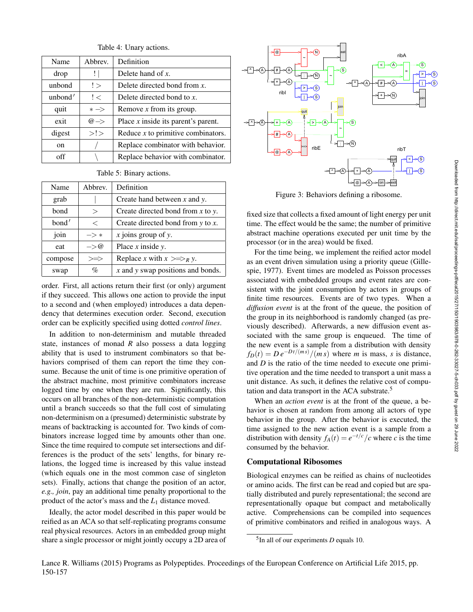| Name    | Abbrev.          | Definition                            |
|---------|------------------|---------------------------------------|
| drop    | ΙI               | Delete hand of $x$ .                  |
| unbond  | !                | Delete directed bond from $x$ .       |
| unbond' | ! <              | Delete directed bond to $x$ .         |
| quit    | $* \Rightarrow$  | Remove $x$ from its group.            |
| exit    | $@{\rightarrow}$ | Place $x$ inside its parent's parent. |
| digest  | >!               | Reduce $x$ to primitive combinators.  |
| 0n      |                  | Replace combinator with behavior.     |
| off     |                  | Replace behavior with combinator.     |

Table 4: Unary actions.

#### Table 5: Binary actions.

| Name    | Abbrev.              | Definition                               |
|---------|----------------------|------------------------------------------|
| grab    |                      | Create hand between $x$ and $y$ .        |
| bond    | $\rm{>}$             | Create directed bond from $x$ to $y$ .   |
| bond'   | $\,<\,$              | Create directed bond from $y$ to $x$ .   |
| join    | $\rightarrow *$      | $x$ joins group of y.                    |
| eat     | $\Rightarrow \varpi$ | Place $x$ inside $y$ .                   |
| compose | $\gg \gg$            | Replace x with $x \ge \Rightarrow_R y$ . |
| swap    | $\%$                 | $x$ and $y$ swap positions and bonds.    |

order. First, all actions return their first (or only) argument if they succeed. This allows one action to provide the input to a second and (when employed) introduces a data dependency that determines execution order. Second, execution order can be explicitly specified using dotted *control lines*.

In addition to non-determinism and mutable threaded state, instances of monad *R* also possess a data logging ability that is used to instrument combinators so that behaviors comprised of them can report the time they consume. Because the unit of time is one primitive operation of the abstract machine, most primitive combinators increase logged time by one when they are run. Significantly, this occurs on all branches of the non-deterministic computation until a branch succeeds so that the full cost of simulating non-determinism on a (presumed) deterministic substrate by means of backtracking is accounted for. Two kinds of combinators increase logged time by amounts other than one. Since the time required to compute set intersections and differences is the product of the sets' lengths, for binary relations, the logged time is increased by this value instead (which equals one in the most common case of singleton sets). Finally, actions that change the position of an actor, *e.g., join*, pay an additional time penalty proportional to the product of the actor's mass and the *L*<sup>1</sup> distance moved.

Ideally, the actor model described in this paper would be reified as an ACA so that self-replicating programs consume real physical resources. Actors in an embedded group might share a single processor or might jointly occupy a 2D area of



Figure 3: Behaviors defining a ribosome.

fixed size that collects a fixed amount of light energy per unit time. The effect would be the same; the number of primitive abstract machine operations executed per unit time by the processor (or in the area) would be fixed.

For the time being, we implement the reified actor model as an event driven simulation using a priority queue (Gillespie, 1977). Event times are modeled as Poisson processes associated with embedded groups and event rates are consistent with the joint consumption by actors in groups of finite time resources. Events are of two types. When a *diffusion event* is at the front of the queue, the position of the group in its neighborhood is randomly changed (as previously described). Afterwards, a new diffusion event associated with the same group is enqueued. The time of the new event is a sample from a distribution with density  $f_D(t) = De^{-Dt/(ms)}/(ms)$  where *m* is mass, *s* is distance, and *D* is the ratio of the time needed to execute one primitive operation and the time needed to transport a unit mass a unit distance. As such, it defines the relative cost of computation and data transport in the ACA substrate.<sup>5</sup>

When an *action event* is at the front of the queue, a behavior is chosen at random from among all actors of type behavior in the group. After the behavior is executed, the time assigned to the new action event is a sample from a distribution with density  $f_A(t) = e^{-t/c}/c$  where *c* is the time consumed by the behavior.

# Computational Ribosomes

Biological enzymes can be reified as chains of nucleotides or amino acids. The first can be read and copied but are spatially distributed and purely representational; the second are representationally opaque but compact and metabolically active. Comprehensions can be compiled into sequences of primitive combinators and reified in analogous ways. A

<sup>5</sup> In all of our experiments *D* equals 10.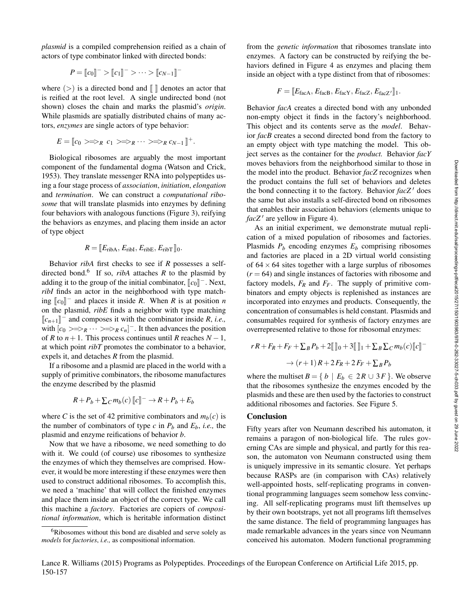*plasmid* is a compiled comprehension reified as a chain of actors of type combinator linked with directed bonds:

$$
P = [c_0]^{-} > [c_1]^{-} > \cdots > [c_{N-1}]^{-}
$$

where  $(>)$  is a directed bond and  $\lbrack \lbrack \rbrack$  denotes an actor that is reified at the root level. A single undirected bond (not shown) closes the chain and marks the plasmid's *origin*. While plasmids are spatially distributed chains of many actors, *enzymes* are single actors of type behavior:

$$
E = [c_0 \gt \Rightarrow_R c_1 \gt \Rightarrow_R \cdots \gt \Rightarrow_R c_{N-1}]^+.
$$

Biological ribosomes are arguably the most important component of the fundamental dogma (Watson and Crick, 1953). They translate messenger RNA into polypeptides using a four stage process of *association*, *initiation*, *elongation* and *termination*. We can construct a *computational ribosome* that will translate plasmids into enzymes by defining four behaviors with analogous functions (Figure 3), reifying the behaviors as enzymes, and placing them inside an actor of type object

# $R = \llbracket E_{\text{ribA}}, E_{\text{ribI}}, E_{\text{ribE}}, E_{\text{ribT}} \rrbracket_0.$

Behavior *ribA* first checks to see if *R* possesses a selfdirected bond.<sup>6</sup> If so, *ribA* attaches  $R$  to the plasmid by adding it to the group of the initial combinator,  $[\![c_0]\!]^-$ . Next, *ribI* finds an actor in the neighborhood with type match- $\left[\begin{matrix} c_0 \end{matrix}\right]$ <sup>-</sup> and places it inside *R*. When *R* is at position *n* on the plasmid, *ribE* finds a neighbor with type matching  $\llbracket c_{n+1} \rrbracket$ <sup>-</sup> and composes it with the combinator inside *R*, *i.e.*, with  $[c_0 \ggg g_R \cdots \ggg g_R c_n]$ . It then advances the position of *R* to  $n+1$ . This process continues until *R* reaches  $N-1$ , at which point *ribT* promotes the combinator to a behavior, expels it, and detaches *R* from the plasmid.

If a ribosome and a plasmid are placed in the world with a supply of primitive combinators, the ribosome manufactures the enzyme described by the plasmid

$$
R + P_b + \sum_{c} m_b(c) \left[ c \right]^{-} \rightarrow R + P_b + E_b
$$

where *C* is the set of 42 primitive combinators and  $m_b(c)$  is the number of combinators of type  $c$  in  $P_b$  and  $E_b$ , *i.e.*, the plasmid and enzyme reifications of behavior *b*.

Now that we have a ribosome, we need something to do with it. We could (of course) use ribosomes to synthesize the enzymes of which they themselves are comprised. However, it would be more interesting if these enzymes were then used to construct additional ribosomes. To accomplish this, we need a 'machine' that will collect the finished enzymes and place them inside an object of the correct type. We call this machine a *factory*. Factories are copiers of *compositional information*, which is heritable information distinct from the *genetic information* that ribosomes translate into enzymes. A factory can be constructed by reifying the behaviors defined in Figure 4 as enzymes and placing them inside an object with a type distinct from that of ribosomes:

$$
F = [E_{\text{facA}}, E_{\text{facB}}, E_{\text{facY}}, E_{\text{facZ}}, E_{\text{facZ'}}].
$$

Behavior *facA* creates a directed bond with any unbonded non-empty object it finds in the factory's neighborhood. This object and its contents serve as the *model*. Behavior *facB* creates a second directed bond from the factory to an empty object with type matching the model. This object serves as the container for the *product.* Behavior *facY* moves behaviors from the neighborhood similar to those in the model into the product. Behavior *facZ* recognizes when the product contains the full set of behaviors and deletes the bond connecting it to the factory. Behavior *facZ'* does the same but also installs a self-directed bond on ribosomes that enables their association behaviors (elements unique to  $facZ'$  are yellow in Figure 4).

As an initial experiment, we demonstrate mutual replication of a mixed population of ribosomes and factories. Plasmids  $P_b$  encoding enzymes  $E_b$  comprising ribosomes and factories are placed in a 2D virtual world consisting of  $64 \times 64$  sites together with a large surplus of ribosomes  $(r = 64)$  and single instances of factories with ribosome and factory models, *F<sup>R</sup>* and *FF*. The supply of primitive combinators and empty objects is replenished as instances are incorporated into enzymes and products. Consequently, the concentration of consumables is held constant. Plasmids and consumables required for synthesis of factory enzymes are overrepresented relative to those for ribosomal enzymes:

$$
rR + F_R + F_F + \sum_B P_b + 2[\![\!]_0 + 3[\![\!]_1 + \sum_B \sum_C m_b(c)[\![c]\!] -
$$
  

$$
\rightarrow (r+1)R + 2F_R + 2F_F + \sum_B P_b
$$

where the multiset  $B = \{ b \mid E_b \in 2R \cup 3F \}$ . We observe that the ribosomes synthesize the enzymes encoded by the plasmids and these are then used by the factories to construct additional ribosomes and factories. See Figure 5.

# Conclusion

Fifty years after von Neumann described his automaton, it remains a paragon of non-biological life. The rules governing CAs are simple and physical, and partly for this reason, the automaton von Neumann constructed using them is uniquely impressive in its semantic closure. Yet perhaps because RASPs are (in comparison with CAs) relatively well-appointed hosts, self-replicating programs in conventional programming languages seem somehow less convincing. All self-replicating programs must lift themselves up by their own bootstraps, yet not all programs lift themselves the same distance. The field of programming languages has made remarkable advances in the years since von Neumann conceived his automaton. Modern functional programming

<sup>&</sup>lt;sup>6</sup>Ribosomes without this bond are disabled and serve solely as *models* for *factories*, *i.e.,* as compositional information.